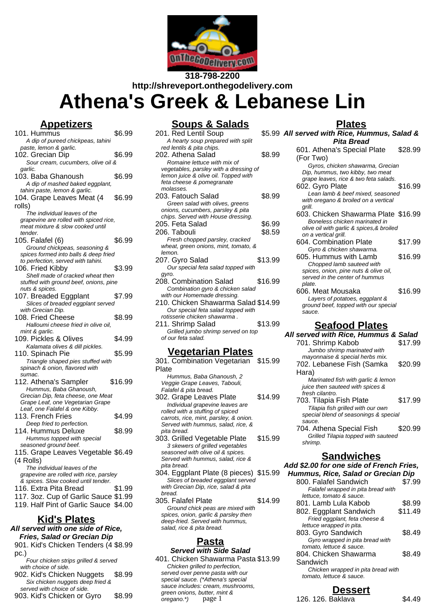

**318-798-2200 http://shreveport.onthegodelivery.com**

# **Athena's Greek & Lebanese Lin**

#### **Appetizers**

101. Hummus \$6.99 A dip of pureed chickpeas, tahini paste, lemon & garlic. 102. Grecian Dip \$6.99 Sour cream, cucumbers, olive oil & garlic. 103. Baba Ghanoush \$6.99 A dip of mashed baked eggplant, tahini paste, lemon & garlic. 104. Grape Leaves Meat (4 rolls) \$6.99 The individual leaves of the grapevine are rolled with spiced rice, meat mixture & slow cooked until tender. 105. Falafel (6) \$6.99 Ground chickpeas, seasoning & spices formed into balls & deep fried to perfection, served with tahini. 106. Fried Kibby \$3.99 Shell made of cracked wheat then stuffed with ground beef, onions, pine nuts & spices. 107. Breaded Eggplant \$7.99 Slices of breaded eggplant served with Grecian Din. 108. Fried Cheese \$8.99 Halloumi cheese fried in olive oil, mint & garlic. 109. Pickles & Olives \$4.99 Kalamata olives & dill pickles. 110. Spinach Pie **\$5.99** Triangle shaped pies stuffed with spinach & onion, flavored with sumac. 112. Athena's Sampler \$16.99 Hummus, Baba Ghanoush, Grecian Dip, feta cheese, one Meat Grape Leaf, one Vegetarian Grape Leaf, one Falafel & one Kibby. 113. French Fries \$4.99 Deep fried to perfection. 114. Hummus Deluxe \$8.99 Hummus topped with special seasoned ground beef. 115. Grape Leaves Vegetable \$6.49 (4 Rolls) The individual leaves of the grapevine are rolled with rice, parsley & spices. Slow cooked until tender. 116. Extra Pita Bread \$1.99 117. 3oz. Cup of Garlic Sauce \$1.99 119. Half Pint of Garlic Sauce \$4.00

## **Kid's Plates**

**All served with one side of Rice, Fries, Salad or Grecian Dip**

- 901. Kid's Chicken Tenders (4 \$8.99 pc.)
- Four chicken strips grilled & served with choice of side.
- 902. Kid's Chicken Nuggets \$8.99 Six chicken nuggets deep fried & served with choice of side.
- 903. Kid's Chicken or Gyro \$8.99

#### **Soups & Salads**

| 201. Red Lentil Soup                   | \$5.99  |
|----------------------------------------|---------|
| A hearty soup prepared with split      |         |
| red lentils & pita chips.              |         |
| 202. Athena Salad                      | \$8.99  |
| Romaine lettuce with mix of            |         |
| vegetables, parsley with a dressing of |         |
| lemon juice & olive oil. Topped with   |         |
| feta cheese & pomegranate              |         |
| molasses.                              |         |
| 203. Fatouch Salad                     | \$8.99  |
| Green salad with olives, greens        |         |
| onions, cucumbers, parsley & pita      |         |
| chips. Served with House dressing.     |         |
| 205. Feta Salad                        | \$6.99  |
| 206. Tabouli                           | \$8.59  |
| Fresh chopped parsley, cracked         |         |
| wheat, green onions, mint, tomato, &   |         |
| lemon.                                 |         |
| 207. Gyro Salad                        | \$13.99 |
| Our special feta salad topped with     |         |
| gyro.                                  |         |
| 208. Combination Salad                 | \$16.99 |
| Combination gyro & chicken salad       |         |
| with our Homemade dressing.            |         |
| 210. Chicken Shawarma Salad \$14.99    |         |
| Our special feta salad topped with     |         |
| rotisserie chicken shawarma.           |         |

211. Shrimp Salad \$13.99 Grilled jumbo shrimp served on top of our feta salad.

#### **Vegetarian Plates**

301. Combination Vegetarian Plate \$15.99

- Hummus, Baba Ghanoush, 2 Veggie Grape Leaves, Tabouli, Falafel & pita bread.
- 302. Grape Leaves Plate \$14.99 Individual grapevine leaves are rolled with a stuffing of spiced carrots, rice, mint, parsley, & onion. Served with hummus, salad, rice, & pita bread.
- 303. Grilled Vegetable Plate \$15.99 3 skewers of grilled vegetables seasoned with olive oil & spices. Served with hummus, salad, rice & pita bread.
- 304. Eggplant Plate (8 pieces) \$15.99 Slices of breaded eggplant served with Grecian Dip, rice, salad & pita bread.
- 305. Falafel Plate \$14.99 Ground chick peas are mixed with spices, onion, garlic & parsley then deep-fried. Served with hummus, salad, rice & pita bread.

# **Pasta**

**Served with Side Salad** 401. Chicken Shawarma Pasta \$13.99 Chicken grilled to perfection, served over penne pasta with our special sauce. (\*Athena's special sauce includes: cream, mushrooms, green onions, butter, mint & oregano.\*)

**Plates All served with Rice, Hummus, Salad & Pita Bread** 601. Athena's Special Plate (For Two) \$28.99 Gyros, chicken shawarma, Grecian Dip, hummus, two kibby, two meat grape leaves, rice & two feta salads. 602. Gyro Plate \$16.99 Lean lamb & beef mixed, seasoned with oregano & broiled on a vertical grill. 603. Chicken Shawarma Plate \$16.99 Boneless chicken marinated in olive oil with garlic & spices,& broiled on a vertical grill. 604. Combination Plate \$17.99 Gyro & chicken shawarma. 605. Hummus with Lamb \$16.99 Chopped lamb sauteed with spices, onion, pine nuts & olive oil, served in the center of hummus plate. 606. Meat Mousaka \$16.99 Layers of potatoes, eggplant & ground beef, topped with our special sauce.

#### **Seafood Plates**

| All served with Rice, Hummus & Salad  |         |
|---------------------------------------|---------|
| 701. Shrimp Kabob                     | \$17.99 |
| Jumbo shrimp marinated with           |         |
| mayonnaise & special herbs mix.       |         |
| 702. Lebanese Fish (Samka             | \$20.99 |
| Hara)                                 |         |
| Marinated fish with garlic & lemon    |         |
| juice then sauteed with spices &      |         |
| fresh cilantro.                       |         |
| 703. Tilapia Fish Plate               | \$17.99 |
| Tilapia fish grilled with our own     |         |
| special blend of seasonings & special |         |
| sauce.                                |         |
| 704. Athena Special Fish              | \$20.99 |
| Grilled Tilapia topped with sauteed   |         |
| shrimp.                               |         |
|                                       |         |

#### **Sandwiches**

**Add \$2.00 for one side of French Fries, Hummus, Rice, Salad or Grecian Dip**

| rammas, nos, salau si sicolah <i>pip</i> |         |
|------------------------------------------|---------|
| 800. Falafel Sandwich                    | \$7.99  |
| Falafel wrapped in pita bread with       |         |
| lettuce, tomato & sauce.                 |         |
| 801. Lamb Lula Kabob                     | \$8.99  |
| 802. Eggplant Sandwich                   | \$11.49 |
| Fried eggplant, feta cheese &            |         |
| lettuce wrapped in pita.                 |         |
| 803. Gyro Sandwich                       | \$8.49  |
| Gyro wrapped in pita bread with          |         |
| tomato. lettuce & sauce.                 |         |
| 804. Chicken Shawarma                    | \$8.49  |
| Sandwich                                 |         |
| Chicken wrapped in pita bread with       |         |
| tomato, lettuce & sauce.                 |         |

### **Dessert**

page 1 126. 126. Baklava \$4.49